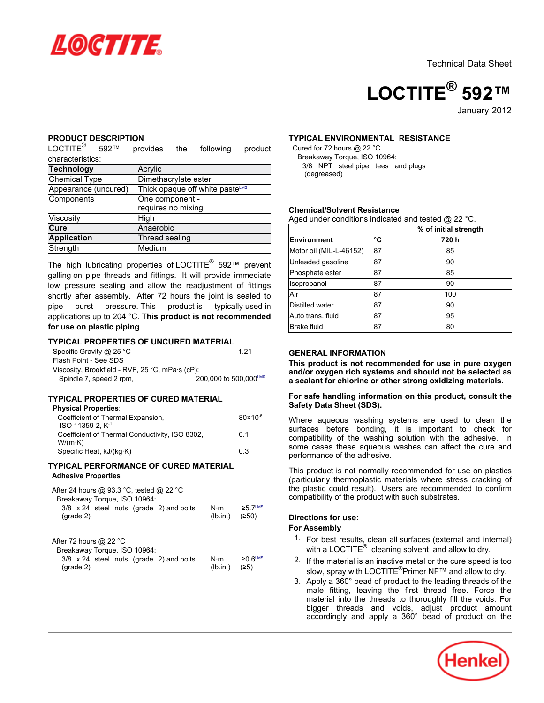



January 2012

### **PRODUCT DESCRIPTION**

LOCTITE<sup>®</sup> 592™ provides the following product characteristics:

| <b>Technology</b>    | Acrylic                         |  |
|----------------------|---------------------------------|--|
| Chemical Type        | Dimethacrylate ester            |  |
| Appearance (uncured) | Thick opaque off white pasteLMS |  |
| Components           | One component -                 |  |
|                      | requires no mixing              |  |
| Viscosity            | High                            |  |
| Cure                 | Anaerobic                       |  |
| Application          | Thread sealing                  |  |
| Strength             | Medium                          |  |

The high lubricating properties of LOCTITE® 592™ prevent galling on pipe threads and fittings. It will provide immediate low pressure sealing and allow the readjustment of fittings shortly after assembly. After 72 hours the joint is sealed to pipe burst pressure. This product is typically used in applications up to 204 °C. **This product is not recommended for use on plastic piping**.

### **TYPICAL PROPERTIES OF UNCURED MATERIAL**

| Specific Gravity @ 25 °C                        | 1 21                  |
|-------------------------------------------------|-----------------------|
| Flash Point - See SDS                           |                       |
| Viscosity, Brookfield - RVF, 25 °C, mPa·s (cP): |                       |
| Spindle 7, speed 2 rpm,                         | 200.000 to 500.000LMS |

#### **TYPICAL PROPERTIES OF CURED MATERIAL**

#### **Physical Properties**:

| Coefficient of Thermal Expansion,<br>$ISO$ 11359-2. $K-1$ | $80 \times 10^{-6}$ |
|-----------------------------------------------------------|---------------------|
| Coefficient of Thermal Conductivity, ISO 8302,<br>W/(m·K) | 0.1                 |
| Specific Heat, kJ/(kg·K)                                  | 0.3                 |

### **TYPICAL PERFORMANCE OF CURED MATERIAL Adhesive Properties**

| After 24 hours @ 93.3 °C, tested @ 22 °C<br>Breakaway Torque, ISO 10964:<br>3/8 x 24 steel nuts (grade 2) and bolts<br>$(\text{grade } 2)$ | N⋅m<br>(lb.in.) | $≥5.7^{\text{LMS}}$<br>(250) |
|--------------------------------------------------------------------------------------------------------------------------------------------|-----------------|------------------------------|
| After 72 hours $@$ 22 °C                                                                                                                   |                 |                              |
|                                                                                                                                            |                 |                              |
| Breakaway Torque, ISO 10964:                                                                                                               |                 |                              |
| 3/8 x 24 steel nuts (grade 2) and bolts                                                                                                    | $N \cdot m$     | $≥0.6^{\text{LMS}}$          |
| $(\text{grade } 2)$                                                                                                                        | (Ib.in.)        | (25)                         |

# **TYPICAL ENVIRONMENTAL RESISTANCE**

Cured for 72 hours @ 22 °C Breakaway Torque, ISO 10964: 3/8 NPT steel pipe tees and plugs (degreased)

### **Chemical/Solvent Resistance**

Aged under conditions indicated and tested @ 22 °C.

|                         |    | % of initial strength |
|-------------------------|----|-----------------------|
| Environment             | °C | 720h                  |
| Motor oil (MIL-L-46152) | 87 | 85                    |
| Unleaded gasoline       | 87 | 90                    |
| Phosphate ester         | 87 | 85                    |
| Isopropanol             | 87 | 90                    |
| Air                     | 87 | 100                   |
| Distilled water         | 87 | 90                    |
| Auto trans. fluid       | 87 | 95                    |
| <b>Brake fluid</b>      | 87 | 80                    |

### **GENERAL INFORMATION**

**This product is not recommended for use in pure oxygen and/or oxygen rich systems and should not be selected as a sealant for chlorine or other strong oxidizing materials.**

### **For safe handling information on this product, consult the Safety Data Sheet (SDS).**

Where aqueous washing systems are used to clean the surfaces before bonding, it is important to check for compatibility of the washing solution with the adhesive. In some cases these aqueous washes can affect the cure and performance of the adhesive.

This product is not normally recommended for use on plastics (particularly thermoplastic materials where stress cracking of the plastic could result). Users are recommended to confirm compatibility of the product with such substrates.

### **Directions for use:**

# **For Assembly**

- 1. For best results, clean all surfaces (external and internal) with a LOCTITE $^{\circledR}$  cleaning solvent and allow to dry.
- 2. If the material is an inactive metal or the cure speed is too slow, spray with LOCTITE<sup>®</sup>Primer NF<sup>™</sup> and allow to dry.
- 3. Apply a 360° bead of product to the leading threads of the male fitting, leaving the first thread free. Force the material into the threads to thoroughly fill the voids. For bigger threads and voids, adjust product amount accordingly and apply a 360° bead of product on the